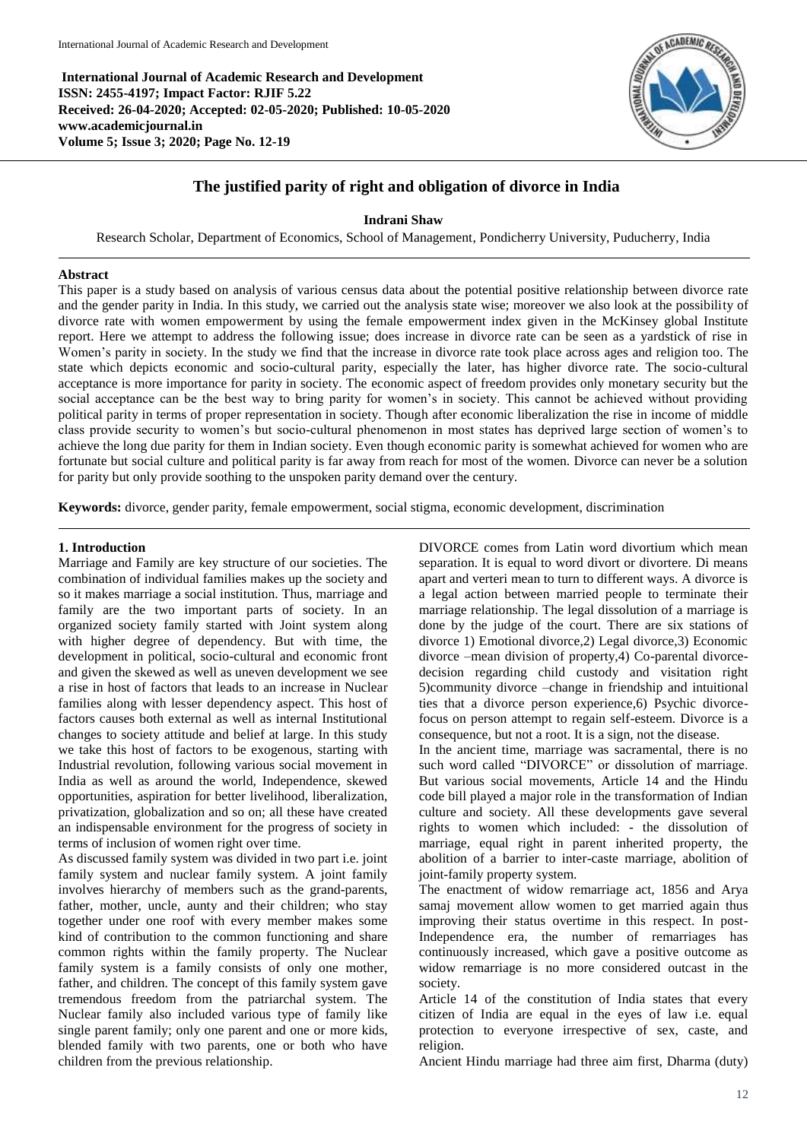**International Journal of Academic Research and Development ISSN: 2455-4197; Impact Factor: RJIF 5.22 Received: 26-04-2020; Accepted: 02-05-2020; Published: 10-05-2020 www.academicjournal.in Volume 5; Issue 3; 2020; Page No. 12-19**



# **The justified parity of right and obligation of divorce in India**

**Indrani Shaw**

Research Scholar, Department of Economics, School of Management, Pondicherry University, Puducherry, India

# **Abstract**

This paper is a study based on analysis of various census data about the potential positive relationship between divorce rate and the gender parity in India. In this study, we carried out the analysis state wise; moreover we also look at the possibility of divorce rate with women empowerment by using the female empowerment index given in the McKinsey global Institute report. Here we attempt to address the following issue; does increase in divorce rate can be seen as a yardstick of rise in Women's parity in society. In the study we find that the increase in divorce rate took place across ages and religion too. The state which depicts economic and socio-cultural parity, especially the later, has higher divorce rate. The socio-cultural acceptance is more importance for parity in society. The economic aspect of freedom provides only monetary security but the social acceptance can be the best way to bring parity for women's in society. This cannot be achieved without providing political parity in terms of proper representation in society. Though after economic liberalization the rise in income of middle class provide security to women's but socio-cultural phenomenon in most states has deprived large section of women's to achieve the long due parity for them in Indian society. Even though economic parity is somewhat achieved for women who are fortunate but social culture and political parity is far away from reach for most of the women. Divorce can never be a solution for parity but only provide soothing to the unspoken parity demand over the century.

**Keywords:** divorce, gender parity, female empowerment, social stigma, economic development, discrimination

# **1. Introduction**

Marriage and Family are key structure of our societies. The combination of individual families makes up the society and so it makes marriage a social institution. Thus, marriage and family are the two important parts of society. In an organized society family started with Joint system along with higher degree of dependency. But with time, the development in political, socio-cultural and economic front and given the skewed as well as uneven development we see a rise in host of factors that leads to an increase in Nuclear families along with lesser dependency aspect. This host of factors causes both external as well as internal Institutional changes to society attitude and belief at large. In this study we take this host of factors to be exogenous, starting with Industrial revolution, following various social movement in India as well as around the world, Independence, skewed opportunities, aspiration for better livelihood, liberalization, privatization, globalization and so on; all these have created an indispensable environment for the progress of society in terms of inclusion of women right over time.

As discussed family system was divided in two part i.e. joint family system and nuclear family system. A joint family involves hierarchy of members such as the grand-parents, father, mother, uncle, aunty and their children; who stay together under one roof with every member makes some kind of contribution to the common functioning and share common rights within the family property. The Nuclear family system is a family consists of only one mother, father, and children. The concept of this family system gave tremendous freedom from the patriarchal system. The Nuclear family also included various type of family like single parent family; only one parent and one or more kids, blended family with two parents, one or both who have children from the previous relationship.

DIVORCE comes from Latin word divortium which mean separation. It is equal to word divort or divortere. Di means apart and verteri mean to turn to different ways. A divorce is a legal action between married people to terminate their marriage relationship. The legal dissolution of a marriage is done by the judge of the court. There are six stations of divorce 1) Emotional divorce,2) Legal divorce,3) Economic divorce –mean division of property,4) Co-parental divorcedecision regarding child custody and visitation right 5)community divorce –change in friendship and intuitional ties that a divorce person experience,6) Psychic divorcefocus on person attempt to regain self-esteem. Divorce is a consequence, but not a root. It is a sign, not the disease.

In the ancient time, marriage was sacramental, there is no such word called "DIVORCE" or dissolution of marriage. But various social movements, Article 14 and the Hindu code bill played a major role in the transformation of Indian culture and society. All these developments gave several rights to women which included: - the dissolution of marriage, equal right in parent inherited property, the abolition of a barrier to inter-caste marriage, abolition of joint-family property system.

The enactment of widow remarriage act, 1856 and Arya samaj movement allow women to get married again thus improving their status overtime in this respect. In post-Independence era, the number of remarriages has continuously increased, which gave a positive outcome as widow remarriage is no more considered outcast in the society.

Article 14 of the constitution of India states that every citizen of India are equal in the eyes of law i.e. equal protection to everyone irrespective of sex, caste, and religion.

Ancient Hindu marriage had three aim first, Dharma (duty)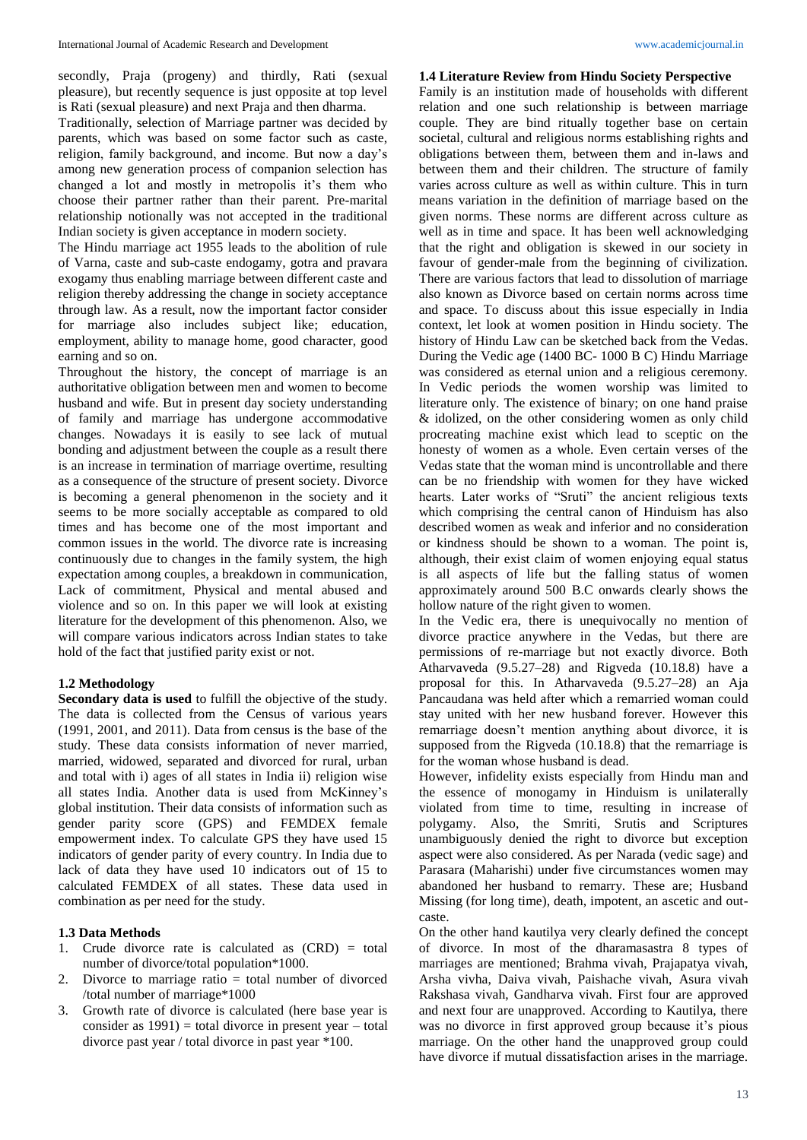secondly, Praja (progeny) and thirdly, Rati (sexual pleasure), but recently sequence is just opposite at top level is Rati (sexual pleasure) and next Praja and then dharma.

Traditionally, selection of Marriage partner was decided by parents, which was based on some factor such as caste, religion, family background, and income. But now a day's among new generation process of companion selection has changed a lot and mostly in metropolis it's them who choose their partner rather than their parent. Pre-marital relationship notionally was not accepted in the traditional Indian society is given acceptance in modern society.

The Hindu marriage act 1955 leads to the abolition of rule of Varna, caste and sub-caste endogamy, gotra and pravara exogamy thus enabling marriage between different caste and religion thereby addressing the change in society acceptance through law. As a result, now the important factor consider for marriage also includes subject like; education, employment, ability to manage home, good character, good earning and so on.

Throughout the history, the concept of marriage is an authoritative obligation between men and women to become husband and wife. But in present day society understanding of family and marriage has undergone accommodative changes. Nowadays it is easily to see lack of mutual bonding and adjustment between the couple as a result there is an increase in termination of marriage overtime, resulting as a consequence of the structure of present society. Divorce is becoming a general phenomenon in the society and it seems to be more socially acceptable as compared to old times and has become one of the most important and common issues in the world. The divorce rate is increasing continuously due to changes in the family system, the high expectation among couples, a breakdown in communication, Lack of commitment, Physical and mental abused and violence and so on. In this paper we will look at existing literature for the development of this phenomenon. Also, we will compare various indicators across Indian states to take hold of the fact that justified parity exist or not.

# **1.2 Methodology**

**Secondary data is used** to fulfill the objective of the study. The data is collected from the Census of various years (1991, 2001, and 2011). Data from census is the base of the study. These data consists information of never married, married, widowed, separated and divorced for rural, urban and total with i) ages of all states in India ii) religion wise all states India. Another data is used from McKinney's global institution. Their data consists of information such as gender parity score (GPS) and FEMDEX female empowerment index. To calculate GPS they have used 15 indicators of gender parity of every country. In India due to lack of data they have used 10 indicators out of 15 to calculated FEMDEX of all states. These data used in combination as per need for the study.

# **1.3 Data Methods**

- 1. Crude divorce rate is calculated as (CRD) = total number of divorce/total population\*1000.
- 2. Divorce to marriage ratio = total number of divorced /total number of marriage\*1000
- 3. Growth rate of divorce is calculated (here base year is consider as  $1991$  = total divorce in present year – total divorce past year / total divorce in past year \*100.

## **1.4 Literature Review from Hindu Society Perspective**

Family is an institution made of households with different relation and one such relationship is between marriage couple. They are bind ritually together base on certain societal, cultural and religious norms establishing rights and obligations between them, between them and in-laws and between them and their children. The structure of family varies across culture as well as within culture. This in turn means variation in the definition of marriage based on the given norms. These norms are different across culture as well as in time and space. It has been well acknowledging that the right and obligation is skewed in our society in favour of gender-male from the beginning of civilization. There are various factors that lead to dissolution of marriage also known as Divorce based on certain norms across time and space. To discuss about this issue especially in India context, let look at women position in Hindu society. The history of Hindu Law can be sketched back from the Vedas. During the Vedic age (1400 BC- 1000 B C) Hindu Marriage was considered as eternal union and a religious ceremony. In Vedic periods the women worship was limited to literature only. The existence of binary; on one hand praise & idolized, on the other considering women as only child procreating machine exist which lead to sceptic on the honesty of women as a whole. Even certain verses of the Vedas state that the woman mind is uncontrollable and there can be no friendship with women for they have wicked hearts. Later works of "Sruti" the ancient religious texts which comprising the central canon of Hinduism has also described women as weak and inferior and no consideration or kindness should be shown to a woman. The point is, although, their exist claim of women enjoying equal status is all aspects of life but the falling status of women approximately around 500 B.C onwards clearly shows the hollow nature of the right given to women.

In the Vedic era, there is unequivocally no mention of divorce practice anywhere in the Vedas, but there are permissions of re-marriage but not exactly divorce. Both Atharvaveda (9.5.27–28) and Rigveda (10.18.8) have a proposal for this. In Atharvaveda (9.5.27–28) an Aja Pancaudana was held after which a remarried woman could stay united with her new husband forever. However this remarriage doesn't mention anything about divorce, it is supposed from the Rigveda (10.18.8) that the remarriage is for the woman whose husband is dead.

However, infidelity exists especially from Hindu man and the essence of monogamy in Hinduism is unilaterally violated from time to time, resulting in increase of polygamy. Also, the Smriti, Srutis and Scriptures unambiguously denied the right to divorce but exception aspect were also considered. As per Narada (vedic sage) and Parasara (Maharishi) under five circumstances women may abandoned her husband to remarry. These are; Husband Missing (for long time), death, impotent, an ascetic and outcaste.

On the other hand kautilya very clearly defined the concept of divorce. In most of the dharamasastra 8 types of marriages are mentioned; Brahma vivah, Prajapatya vivah, Arsha vivha, Daiva vivah, Paishache vivah, Asura vivah Rakshasa vivah, Gandharva vivah. First four are approved and next four are unapproved. According to Kautilya, there was no divorce in first approved group because it's pious marriage. On the other hand the unapproved group could have divorce if mutual dissatisfaction arises in the marriage.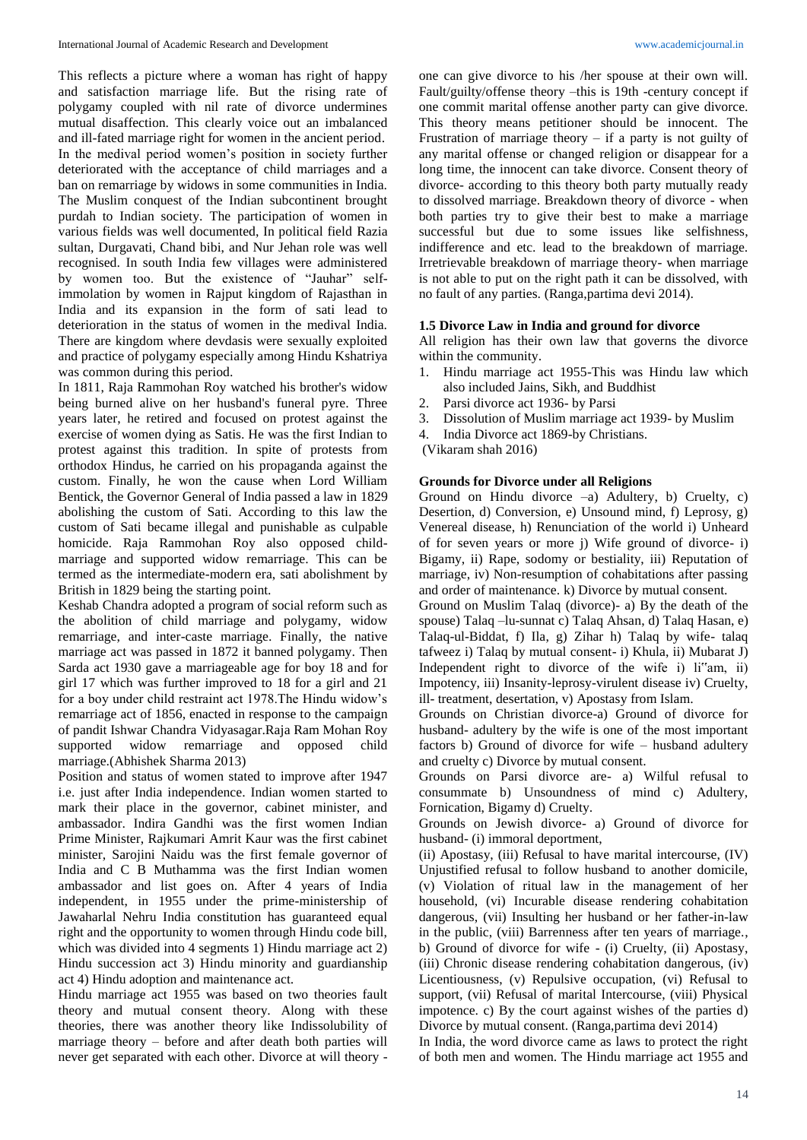This reflects a picture where a woman has right of happy and satisfaction marriage life. But the rising rate of polygamy coupled with nil rate of divorce undermines mutual disaffection. This clearly voice out an imbalanced and ill-fated marriage right for women in the ancient period. In the medival period women's position in society further deteriorated with the acceptance of child marriages and a ban on remarriage by widows in some communities in India. The Muslim conquest of the Indian subcontinent brought purdah to Indian society. The participation of women in various fields was well documented, In political field Razia sultan, Durgavati, Chand bibi, and Nur Jehan role was well recognised. In south India few villages were administered by women too. But the existence of "Jauhar" selfimmolation by women in Rajput kingdom of Rajasthan in India and its expansion in the form of sati lead to deterioration in the status of women in the medival India. There are kingdom where devdasis were sexually exploited and practice of polygamy especially among Hindu Kshatriya was common during this period.

In 1811, Raja Rammohan Roy watched his brother's widow being burned alive on her husband's funeral pyre. Three years later, he retired and focused on protest against the exercise of women dying as Satis. He was the first Indian to protest against this tradition. In spite of protests from orthodox Hindus, he carried on his propaganda against the custom. Finally, he won the cause when Lord William Bentick, the Governor General of India passed a law in 1829 abolishing the custom of Sati. According to this law the custom of Sati became illegal and punishable as culpable homicide. Raja Rammohan Roy also opposed childmarriage and supported widow remarriage. This can be termed as the intermediate-modern era, sati abolishment by British in 1829 being the starting point.

Keshab Chandra adopted a program of social reform such as the abolition of child marriage and polygamy, widow remarriage, and inter-caste marriage. Finally, the native marriage act was passed in 1872 it banned polygamy. Then Sarda act 1930 gave a marriageable age for boy 18 and for girl 17 which was further improved to 18 for a girl and 21 for a boy under child restraint act 1978.The Hindu widow's remarriage act of 1856, enacted in response to the campaign of pandit Ishwar Chandra Vidyasagar.Raja Ram Mohan Roy supported widow remarriage and opposed child marriage.(Abhishek Sharma 2013)

Position and status of women stated to improve after 1947 i.e. just after India independence. Indian women started to mark their place in the governor, cabinet minister, and ambassador. Indira Gandhi was the first women Indian Prime Minister, Rajkumari Amrit Kaur was the first cabinet minister, Sarojini Naidu was the first female governor of India and C B Muthamma was the first Indian women ambassador and list goes on. After 4 years of India independent, in 1955 under the prime-ministership of Jawaharlal Nehru India constitution has guaranteed equal right and the opportunity to women through Hindu code bill, which was divided into 4 segments 1) Hindu marriage act 2) Hindu succession act 3) Hindu minority and guardianship act 4) Hindu adoption and maintenance act.

Hindu marriage act 1955 was based on two theories fault theory and mutual consent theory. Along with these theories, there was another theory like Indissolubility of marriage theory – before and after death both parties will never get separated with each other. Divorce at will theory -

one can give divorce to his /her spouse at their own will. Fault/guilty/offense theory –this is 19th -century concept if one commit marital offense another party can give divorce. This theory means petitioner should be innocent. The Frustration of marriage theory  $-$  if a party is not guilty of any marital offense or changed religion or disappear for a long time, the innocent can take divorce. Consent theory of divorce- according to this theory both party mutually ready to dissolved marriage. Breakdown theory of divorce - when both parties try to give their best to make a marriage successful but due to some issues like selfishness, indifference and etc. lead to the breakdown of marriage. Irretrievable breakdown of marriage theory- when marriage is not able to put on the right path it can be dissolved, with no fault of any parties. (Ranga,partima devi 2014).

#### **1.5 Divorce Law in India and ground for divorce**

All religion has their own law that governs the divorce within the community.

- 1. Hindu marriage act 1955-This was Hindu law which also included Jains, Sikh, and Buddhist
- 2. Parsi divorce act 1936- by Parsi
- 3. Dissolution of Muslim marriage act 1939- by Muslim
- 4. India Divorce act 1869-by Christians.
- (Vikaram shah 2016)

# **Grounds for Divorce under all Religions**

Ground on Hindu divorce  $-a$ ) Adultery, b) Cruelty, c) Desertion, d) Conversion, e) Unsound mind, f) Leprosy, g) Venereal disease, h) Renunciation of the world i) Unheard of for seven years or more j) Wife ground of divorce- i) Bigamy, ii) Rape, sodomy or bestiality, iii) Reputation of marriage, iv) Non-resumption of cohabitations after passing and order of maintenance. k) Divorce by mutual consent.

Ground on Muslim Talaq (divorce)- a) By the death of the spouse) Talaq –lu-sunnat c) Talaq Ahsan, d) Talaq Hasan, e) Talaq-ul-Biddat, f) Ila, g) Zihar h) Talaq by wife- talaq tafweez i) Talaq by mutual consent- i) Khula, ii) Mubarat J) Independent right to divorce of the wife i) li"am, ii) Impotency, iii) Insanity-leprosy-virulent disease iv) Cruelty, ill- treatment, desertation, v) Apostasy from Islam.

Grounds on Christian divorce-a) Ground of divorce for husband- adultery by the wife is one of the most important factors b) Ground of divorce for wife – husband adultery and cruelty c) Divorce by mutual consent.

Grounds on Parsi divorce are- a) Wilful refusal to consummate b) Unsoundness of mind c) Adultery, Fornication, Bigamy d) Cruelty.

Grounds on Jewish divorce- a) Ground of divorce for husband- (i) immoral deportment,

(ii) Apostasy, (iii) Refusal to have marital intercourse, (IV) Unjustified refusal to follow husband to another domicile, (v) Violation of ritual law in the management of her household, (vi) Incurable disease rendering cohabitation dangerous, (vii) Insulting her husband or her father-in-law in the public, (viii) Barrenness after ten years of marriage., b) Ground of divorce for wife - (i) Cruelty, (ii) Apostasy, (iii) Chronic disease rendering cohabitation dangerous, (iv) Licentiousness, (v) Repulsive occupation, (vi) Refusal to support, (vii) Refusal of marital Intercourse, (viii) Physical impotence. c) By the court against wishes of the parties d) Divorce by mutual consent. (Ranga,partima devi 2014)

In India, the word divorce came as laws to protect the right of both men and women. The Hindu marriage act 1955 and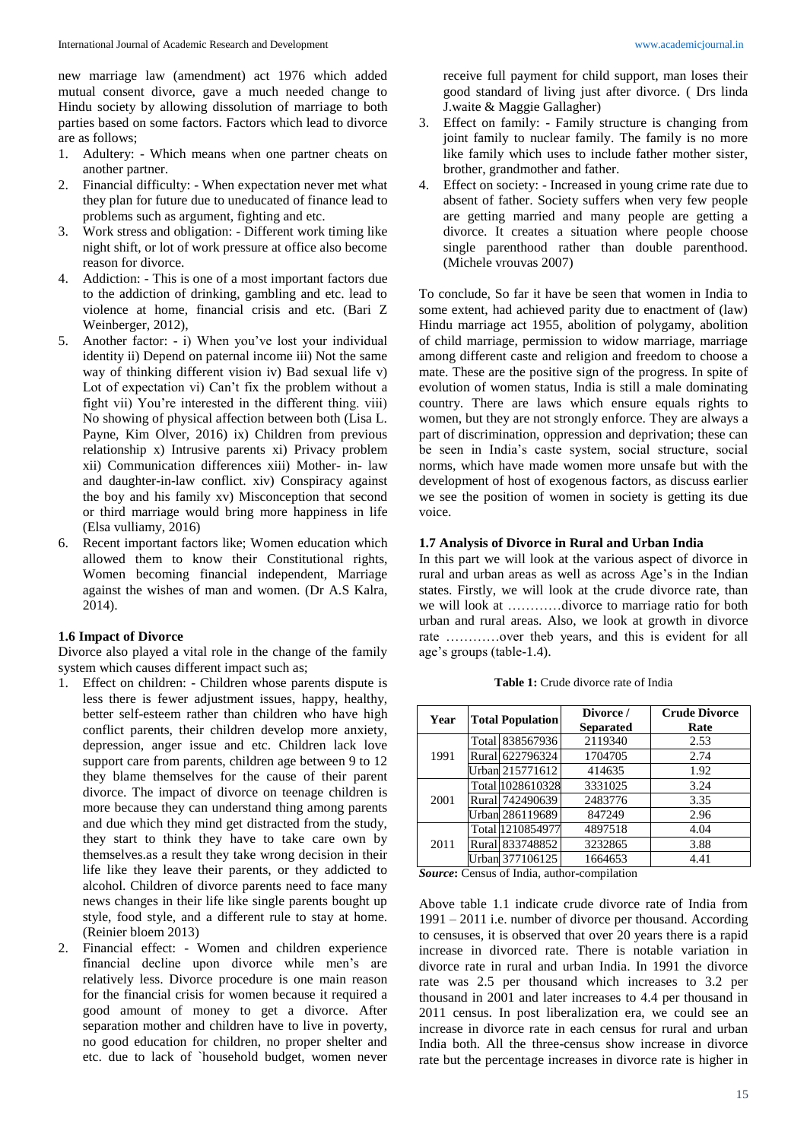new marriage law (amendment) act 1976 which added mutual consent divorce, gave a much needed change to Hindu society by allowing dissolution of marriage to both parties based on some factors. Factors which lead to divorce are as follows;

- 1. Adultery: Which means when one partner cheats on another partner.
- 2. Financial difficulty: When expectation never met what they plan for future due to uneducated of finance lead to problems such as argument, fighting and etc.
- 3. Work stress and obligation: Different work timing like night shift, or lot of work pressure at office also become reason for divorce.
- 4. Addiction: This is one of a most important factors due to the addiction of drinking, gambling and etc. lead to violence at home, financial crisis and etc. (Bari Z Weinberger, 2012),
- 5. Another factor: i) When you've lost your individual identity ii) Depend on paternal income iii) Not the same way of thinking different vision iv) Bad sexual life v) Lot of expectation vi) Can't fix the problem without a fight vii) You're interested in the different thing. viii) No showing of physical affection between both (Lisa L. Payne, Kim Olver, 2016) ix) Children from previous relationship x) Intrusive parents xi) Privacy problem xii) Communication differences xiii) Mother- in- law and daughter-in-law conflict. xiv) Conspiracy against the boy and his family xv) Misconception that second or third marriage would bring more happiness in life (Elsa vulliamy, 2016)
- 6. Recent important factors like; Women education which allowed them to know their Constitutional rights, Women becoming financial independent, Marriage against the wishes of man and women. (Dr A.S Kalra, 2014).

## **1.6 Impact of Divorce**

Divorce also played a vital role in the change of the family system which causes different impact such as;

- 1. Effect on children: Children whose parents dispute is less there is fewer adjustment issues, happy, healthy, better self-esteem rather than children who have high conflict parents, their children develop more anxiety, depression, anger issue and etc. Children lack love support care from parents, children age between 9 to 12 they blame themselves for the cause of their parent divorce. The impact of divorce on teenage children is more because they can understand thing among parents and due which they mind get distracted from the study, they start to think they have to take care own by themselves.as a result they take wrong decision in their life like they leave their parents, or they addicted to alcohol. Children of divorce parents need to face many news changes in their life like single parents bought up style, food style, and a different rule to stay at home. (Reinier bloem 2013)
- 2. Financial effect: Women and children experience financial decline upon divorce while men's are relatively less. Divorce procedure is one main reason for the financial crisis for women because it required a good amount of money to get a divorce. After separation mother and children have to live in poverty, no good education for children, no proper shelter and etc. due to lack of `household budget, women never

receive full payment for child support, man loses their good standard of living just after divorce. ( Drs linda J.waite & Maggie Gallagher)

- 3. Effect on family: Family structure is changing from joint family to nuclear family. The family is no more like family which uses to include father mother sister, brother, grandmother and father.
- 4. Effect on society: Increased in young crime rate due to absent of father. Society suffers when very few people are getting married and many people are getting a divorce. It creates a situation where people choose single parenthood rather than double parenthood. (Michele vrouvas 2007)

To conclude, So far it have be seen that women in India to some extent, had achieved parity due to enactment of (law) Hindu marriage act 1955, abolition of polygamy, abolition of child marriage, permission to widow marriage, marriage among different caste and religion and freedom to choose a mate. These are the positive sign of the progress. In spite of evolution of women status, India is still a male dominating country. There are laws which ensure equals rights to women, but they are not strongly enforce. They are always a part of discrimination, oppression and deprivation; these can be seen in India's caste system, social structure, social norms, which have made women more unsafe but with the development of host of exogenous factors, as discuss earlier we see the position of women in society is getting its due voice.

### **1.7 Analysis of Divorce in Rural and Urban India**

In this part we will look at the various aspect of divorce in rural and urban areas as well as across Age's in the Indian states. Firstly, we will look at the crude divorce rate, than we will look at …………divorce to marriage ratio for both urban and rural areas. Also, we look at growth in divorce rate …………over theb years, and this is evident for all age's groups (table-1.4).

| Year | <b>Total Population</b> |                  | Divorce /        | <b>Crude Divorce</b> |
|------|-------------------------|------------------|------------------|----------------------|
|      |                         |                  | <b>Separated</b> | Rate                 |
| 1991 |                         | Total 838567936  | 2119340          | 2.53                 |
|      |                         | Rural 622796324  | 1704705          | 2.74                 |
|      |                         | Urban 215771612  | 414635           | 1.92                 |
| 2001 |                         | Total 1028610328 | 3331025          | 3.24                 |
|      |                         | Rural 742490639  | 2483776          | 3.35                 |
|      |                         | Urban 286119689  | 847249           | 2.96                 |
| 2011 |                         | Total 1210854977 | 4897518          | 4.04                 |
|      |                         | Rural 833748852  | 3232865          | 3.88                 |
|      |                         | Urban 377106125  | 1664653          | 4.41                 |

**Table 1:** Crude divorce rate of India

*Source***:** Census of India, author-compilation

Above table 1.1 indicate crude divorce rate of India from 1991 – 2011 i.e. number of divorce per thousand. According to censuses, it is observed that over 20 years there is a rapid increase in divorced rate. There is notable variation in divorce rate in rural and urban India. In 1991 the divorce rate was 2.5 per thousand which increases to 3.2 per thousand in 2001 and later increases to 4.4 per thousand in 2011 census. In post liberalization era, we could see an increase in divorce rate in each census for rural and urban India both. All the three-census show increase in divorce rate but the percentage increases in divorce rate is higher in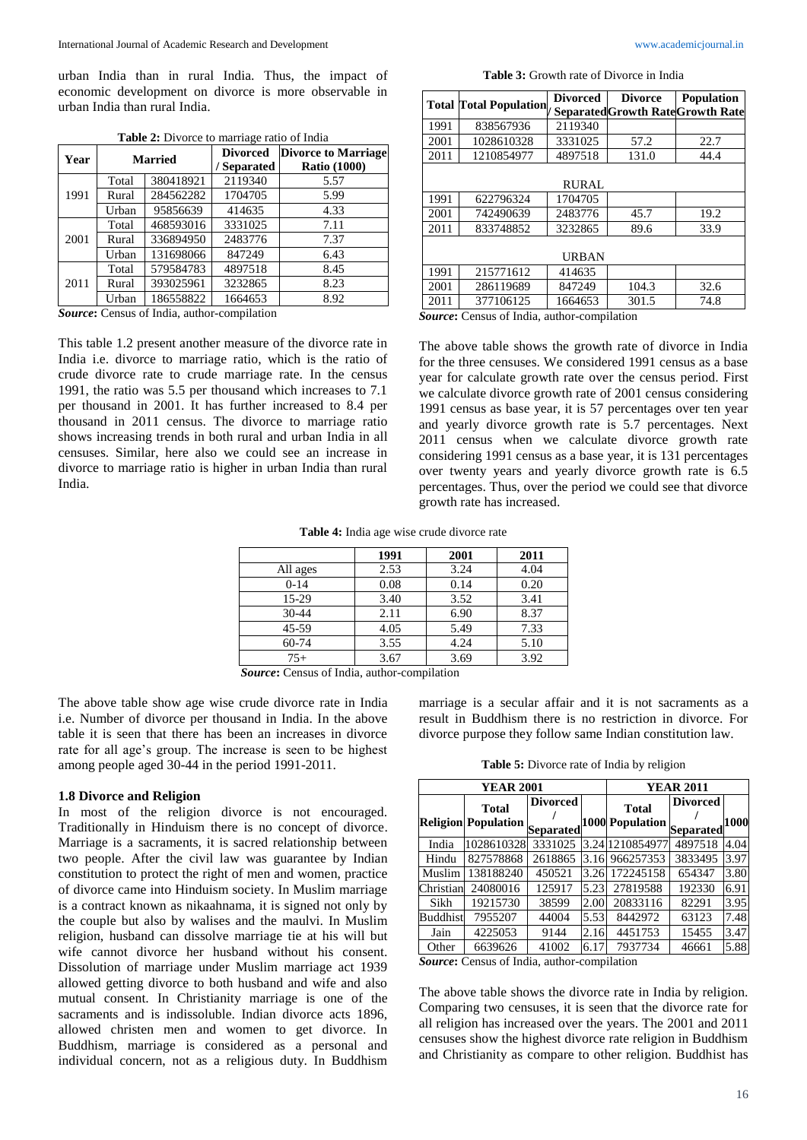urban India than in rural India. Thus, the impact of economic development on divorce is more observable in urban India than rural India.

| Year | <b>Married</b> |           | <b>Divorced</b><br>/ Separated | <b>Divorce to Marriage</b><br><b>Ratio (1000)</b> |
|------|----------------|-----------|--------------------------------|---------------------------------------------------|
| 1991 | Total          | 380418921 | 2119340                        | 5.57                                              |
|      | Rural          | 284562282 | 1704705                        | 5.99                                              |
|      | Urban          | 95856639  | 414635                         | 4.33                                              |
| 2001 | Total          | 468593016 | 3331025                        | 7.11                                              |
|      | Rural          | 336894950 | 2483776                        | 7.37                                              |
|      | Urban          | 131698066 | 847249                         | 6.43                                              |
| 2011 | Total          | 579584783 | 4897518                        | 8.45                                              |
|      | Rural          | 393025961 | 3232865                        | 8.23                                              |
|      | Urban          | 186558822 | 1664653                        | 8.92                                              |

**Table 2:** Divorce to marriage ratio of India

*Source***:** Census of India, author-compilation

This table 1.2 present another measure of the divorce rate in India i.e. divorce to marriage ratio, which is the ratio of crude divorce rate to crude marriage rate. In the census 1991, the ratio was 5.5 per thousand which increases to 7.1 per thousand in 2001. It has further increased to 8.4 per thousand in 2011 census. The divorce to marriage ratio shows increasing trends in both rural and urban India in all censuses. Similar, here also we could see an increase in divorce to marriage ratio is higher in urban India than rural India.

**Table 3:** Growth rate of Divorce in India

|              | <b>Total Total Population</b> | <b>Divorced</b> | <b>Divorce</b> | <b>Population</b>                        |  |  |
|--------------|-------------------------------|-----------------|----------------|------------------------------------------|--|--|
|              |                               |                 |                | <b>Separated Growth Rate Growth Rate</b> |  |  |
| 1991         | 838567936                     | 2119340         |                |                                          |  |  |
| 2001         | 1028610328                    | 3331025         | 57.2           | 22.7                                     |  |  |
| 2011         | 1210854977                    | 4897518         | 131.0          | 44.4                                     |  |  |
|              |                               |                 |                |                                          |  |  |
|              | <b>RURAL</b>                  |                 |                |                                          |  |  |
| 1991         | 622796324                     | 1704705         |                |                                          |  |  |
| 2001         | 742490639                     | 2483776         | 45.7           | 19.2                                     |  |  |
| 2011         | 833748852                     | 3232865         | 89.6           | 33.9                                     |  |  |
|              |                               |                 |                |                                          |  |  |
| <b>URBAN</b> |                               |                 |                |                                          |  |  |
| 1991         | 215771612                     | 414635          |                |                                          |  |  |
| 2001         | 286119689                     | 847249          | 104.3          | 32.6                                     |  |  |
| 2011         | 377106125                     | 1664653         | 301.5          | 74.8                                     |  |  |

*Source***:** Census of India, author-compilation

The above table shows the growth rate of divorce in India for the three censuses. We considered 1991 census as a base year for calculate growth rate over the census period. First we calculate divorce growth rate of 2001 census considering 1991 census as base year, it is 57 percentages over ten year and yearly divorce growth rate is 5.7 percentages. Next 2011 census when we calculate divorce growth rate considering 1991 census as a base year, it is 131 percentages over twenty years and yearly divorce growth rate is 6.5 percentages. Thus, over the period we could see that divorce growth rate has increased.

**Table 4:** India age wise crude divorce rate

|                          | 1991              | 2001 | 2011 |
|--------------------------|-------------------|------|------|
| All ages                 | 2.53              | 3.24 | 4.04 |
| $0 - 14$                 | 0.08              | 0.14 | 0.20 |
| 15-29                    | 3.40              | 3.52 | 3.41 |
| 30-44                    | 2.11              | 6.90 | 8.37 |
| 45-59                    | 4.05              | 5.49 | 7.33 |
| $60 - 74$                | 3.55              | 4.24 | 5.10 |
| $75+$                    | 3.67              | 3.69 | 3.92 |
| $\sim$<br>27.1<br>$\sim$ | $\sim$ 1.1 $\sim$ |      |      |

*Source***:** Census of India, author-compilation

The above table show age wise crude divorce rate in India i.e. Number of divorce per thousand in India. In the above table it is seen that there has been an increases in divorce rate for all age's group. The increase is seen to be highest among people aged 30-44 in the period 1991-2011.

# **1.8 Divorce and Religion**

In most of the religion divorce is not encouraged. Traditionally in Hinduism there is no concept of divorce. Marriage is a sacraments, it is sacred relationship between two people. After the civil law was guarantee by Indian constitution to protect the right of men and women, practice of divorce came into Hinduism society. In Muslim marriage is a contract known as nikaahnama, it is signed not only by the couple but also by walises and the maulvi. In Muslim religion, husband can dissolve marriage tie at his will but wife cannot divorce her husband without his consent. Dissolution of marriage under Muslim marriage act 1939 allowed getting divorce to both husband and wife and also mutual consent. In Christianity marriage is one of the sacraments and is indissoluble. Indian divorce acts 1896, allowed christen men and women to get divorce. In Buddhism, marriage is considered as a personal and individual concern, not as a religious duty. In Buddhism

marriage is a secular affair and it is not sacraments as a result in Buddhism there is no restriction in divorce. For divorce purpose they follow same Indian constitution law.

**Table 5:** Divorce rate of India by religion

| <b>YEAR 2001</b> |                                               |                 |      | <b>YEAR 2011</b>                          |                 |      |
|------------------|-----------------------------------------------|-----------------|------|-------------------------------------------|-----------------|------|
|                  | <b>Total</b><br>Religion Population Separated | <b>Divorced</b> |      | <b>Total</b><br>1000 Population Separated | <b>Divorced</b> | 1000 |
| India            | 1028610328                                    | 3331025         |      | 3.24 1210854977                           | 4897518         | 4.04 |
| Hindu            | 827578868                                     | 2618865         | 3.16 | 966257353                                 | 3833495         | 3.97 |
| Muslim           | 138188240                                     | 450521          | 3.26 | 172245158                                 | 654347          | 3.80 |
| Christian        | 24080016                                      | 125917          | 5.23 | 27819588                                  | 192330          | 6.91 |
| Sikh             | 19215730                                      | 38599           | 2.00 | 20833116                                  | 82291           | 3.95 |
| <b>Buddhist</b>  | 7955207                                       | 44004           | 5.53 | 8442972                                   | 63123           | 7.48 |
| Jain             | 4225053                                       | 9144            | 2.16 | 4451753                                   | 15455           | 3.47 |
| Other            | 6639626                                       | 41002           | 6.17 | 7937734                                   | 46661           | 5.88 |

*Source***:** Census of India, author-compilation

The above table shows the divorce rate in India by religion. Comparing two censuses, it is seen that the divorce rate for all religion has increased over the years. The 2001 and 2011 censuses show the highest divorce rate religion in Buddhism and Christianity as compare to other religion. Buddhist has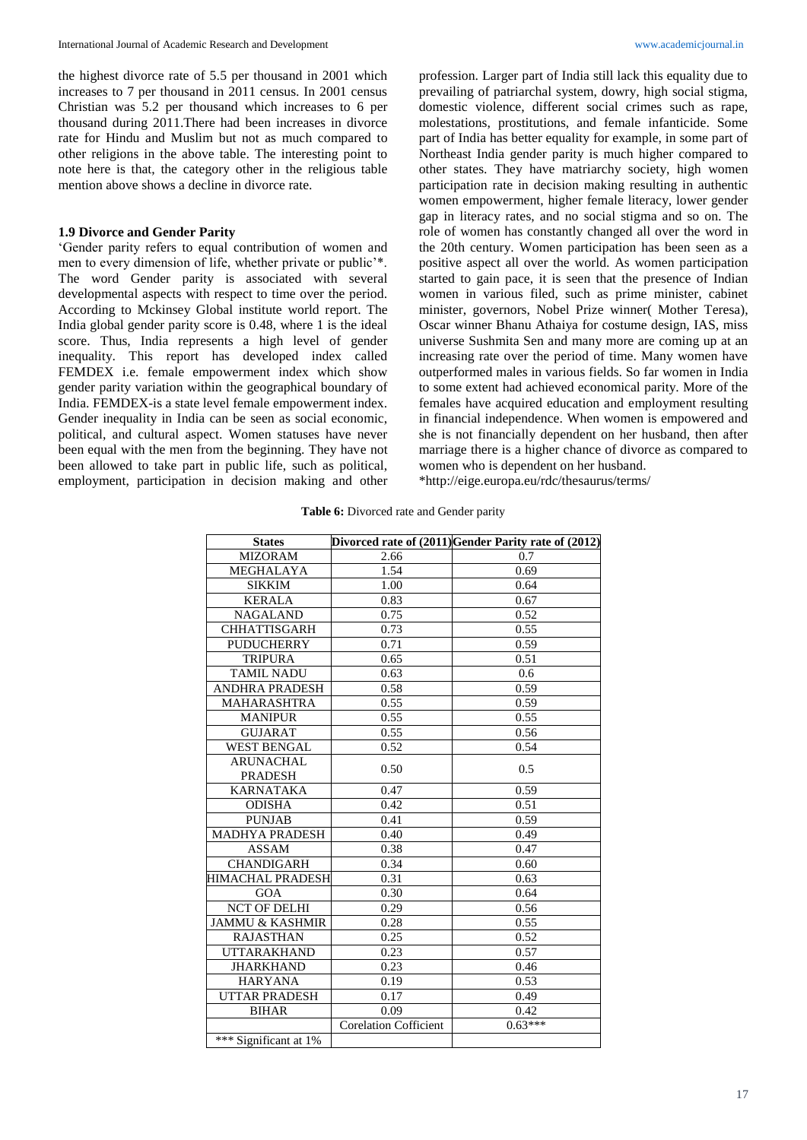the highest divorce rate of 5.5 per thousand in 2001 which increases to 7 per thousand in 2011 census. In 2001 census Christian was 5.2 per thousand which increases to 6 per thousand during 2011.There had been increases in divorce rate for Hindu and Muslim but not as much compared to other religions in the above table. The interesting point to note here is that, the category other in the religious table mention above shows a decline in divorce rate.

# **1.9 Divorce and Gender Parity**

'Gender parity refers to equal contribution of women and men to every dimension of life, whether private or public'\*. The word Gender parity is associated with several developmental aspects with respect to time over the period. According to Mckinsey Global institute world report. The India global gender parity score is 0.48, where 1 is the ideal score. Thus, India represents a high level of gender inequality. This report has developed index called FEMDEX i.e. female empowerment index which show gender parity variation within the geographical boundary of India. FEMDEX-is a state level female empowerment index. Gender inequality in India can be seen as social economic, political, and cultural aspect. Women statuses have never been equal with the men from the beginning. They have not been allowed to take part in public life, such as political, employment, participation in decision making and other profession. Larger part of India still lack this equality due to prevailing of patriarchal system, dowry, high social stigma, domestic violence, different social crimes such as rape, molestations, prostitutions, and female infanticide. Some part of India has better equality for example, in some part of Northeast India gender parity is much higher compared to other states. They have matriarchy society, high women participation rate in decision making resulting in authentic women empowerment, higher female literacy, lower gender gap in literacy rates, and no social stigma and so on. The role of women has constantly changed all over the word in the 20th century. Women participation has been seen as a positive aspect all over the world. As women participation started to gain pace, it is seen that the presence of Indian women in various filed, such as prime minister, cabinet minister, governors, Nobel Prize winner( Mother Teresa), Oscar winner Bhanu Athaiya for costume design, IAS, miss universe Sushmita Sen and many more are coming up at an increasing rate over the period of time. Many women have outperformed males in various fields. So far women in India to some extent had achieved economical parity. More of the females have acquired education and employment resulting in financial independence. When women is empowered and she is not financially dependent on her husband, then after marriage there is a higher chance of divorce as compared to women who is dependent on her husband. \*http://eige.europa.eu/rdc/thesaurus/terms/

**Table 6:** Divorced rate and Gender parity

| <b>States</b>              |                              | Divorced rate of (2011) Gender Parity rate of (2012) |
|----------------------------|------------------------------|------------------------------------------------------|
| <b>MIZORAM</b>             | 2.66                         | 0.7                                                  |
| MEGHALAYA                  | 1.54                         | 0.69                                                 |
| <b>SIKKIM</b>              | 1.00                         | 0.64                                                 |
| <b>KERALA</b>              | 0.83                         | 0.67                                                 |
| <b>NAGALAND</b>            | 0.75                         | 0.52                                                 |
| <b>CHHATTISGARH</b>        | 0.73                         | 0.55                                                 |
| <b>PUDUCHERRY</b>          | 0.71                         | 0.59                                                 |
| <b>TRIPURA</b>             | 0.65                         | 0.51                                                 |
| <b>TAMIL NADU</b>          | 0.63                         | 0.6                                                  |
| <b>ANDHRA PRADESH</b>      | 0.58                         | 0.59                                                 |
| <b>MAHARASHTRA</b>         | 0.55                         | 0.59                                                 |
| <b>MANIPUR</b>             | 0.55                         | 0.55                                                 |
| <b>GUJARAT</b>             | 0.55                         | 0.56                                                 |
| <b>WEST BENGAL</b>         | 0.52                         | 0.54                                                 |
| <b>ARUNACHAL</b>           | 0.50                         | 0.5                                                  |
| <b>PRADESH</b>             |                              |                                                      |
| <b>KARNATAKA</b>           | 0.47                         | 0.59                                                 |
| <b>ODISHA</b>              | 0.42                         | 0.51                                                 |
| <b>PUNJAB</b>              | 0.41                         | 0.59                                                 |
| <b>MADHYA PRADESH</b>      | 0.40                         | 0.49                                                 |
| <b>ASSAM</b>               | 0.38                         | 0.47                                                 |
| <b>CHANDIGARH</b>          | 0.34                         | 0.60                                                 |
| HIMACHAL PRADESH           | 0.31                         | 0.63                                                 |
| <b>GOA</b>                 | 0.30                         | 0.64                                                 |
| <b>NCT OF DELHI</b>        | 0.29                         | 0.56                                                 |
| <b>JAMMU &amp; KASHMIR</b> | 0.28                         | 0.55                                                 |
| <b>RAJASTHAN</b>           | 0.25                         | 0.52                                                 |
| <b>UTTARAKHAND</b>         | 0.23                         | 0.57                                                 |
| <b>JHARKHAND</b>           | 0.23                         | 0.46                                                 |
| <b>HARYANA</b>             | 0.19                         | 0.53                                                 |
| <b>UTTAR PRADESH</b>       | 0.17                         | 0.49                                                 |
| <b>BIHAR</b>               | 0.09                         | 0.42                                                 |
|                            | <b>Corelation Cofficient</b> | $0.63***$                                            |
| *** Significant at 1%      |                              |                                                      |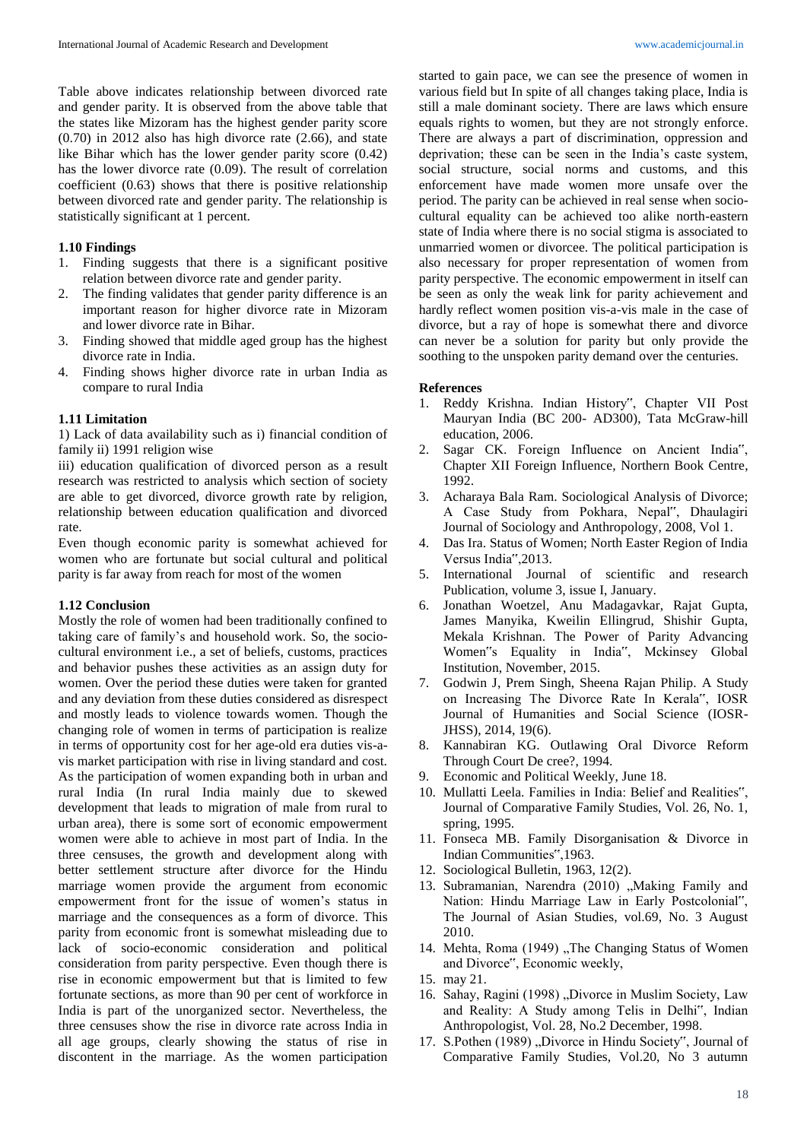Table above indicates relationship between divorced rate and gender parity. It is observed from the above table that the states like Mizoram has the highest gender parity score (0.70) in 2012 also has high divorce rate (2.66), and state like Bihar which has the lower gender parity score (0.42) has the lower divorce rate (0.09). The result of correlation coefficient (0.63) shows that there is positive relationship between divorced rate and gender parity. The relationship is statistically significant at 1 percent.

## **1.10 Findings**

- 1. Finding suggests that there is a significant positive relation between divorce rate and gender parity.
- 2. The finding validates that gender parity difference is an important reason for higher divorce rate in Mizoram and lower divorce rate in Bihar.
- 3. Finding showed that middle aged group has the highest divorce rate in India.
- 4. Finding shows higher divorce rate in urban India as compare to rural India

#### **1.11 Limitation**

1) Lack of data availability such as i) financial condition of family ii) 1991 religion wise

iii) education qualification of divorced person as a result research was restricted to analysis which section of society are able to get divorced, divorce growth rate by religion, relationship between education qualification and divorced rate.

Even though economic parity is somewhat achieved for women who are fortunate but social cultural and political parity is far away from reach for most of the women

# **1.12 Conclusion**

Mostly the role of women had been traditionally confined to taking care of family's and household work. So, the sociocultural environment i.e., a set of beliefs, customs, practices and behavior pushes these activities as an assign duty for women. Over the period these duties were taken for granted and any deviation from these duties considered as disrespect and mostly leads to violence towards women. Though the changing role of women in terms of participation is realize in terms of opportunity cost for her age-old era duties vis-avis market participation with rise in living standard and cost. As the participation of women expanding both in urban and rural India (In rural India mainly due to skewed development that leads to migration of male from rural to urban area), there is some sort of economic empowerment women were able to achieve in most part of India. In the three censuses, the growth and development along with better settlement structure after divorce for the Hindu marriage women provide the argument from economic empowerment front for the issue of women's status in marriage and the consequences as a form of divorce. This parity from economic front is somewhat misleading due to lack of socio-economic consideration and political consideration from parity perspective. Even though there is rise in economic empowerment but that is limited to few fortunate sections, as more than 90 per cent of workforce in India is part of the unorganized sector. Nevertheless, the three censuses show the rise in divorce rate across India in all age groups, clearly showing the status of rise in discontent in the marriage. As the women participation

started to gain pace, we can see the presence of women in various field but In spite of all changes taking place, India is still a male dominant society. There are laws which ensure equals rights to women, but they are not strongly enforce. There are always a part of discrimination, oppression and deprivation; these can be seen in the India's caste system, social structure, social norms and customs, and this enforcement have made women more unsafe over the period. The parity can be achieved in real sense when sociocultural equality can be achieved too alike north-eastern state of India where there is no social stigma is associated to unmarried women or divorcee. The political participation is also necessary for proper representation of women from parity perspective. The economic empowerment in itself can be seen as only the weak link for parity achievement and hardly reflect women position vis-a-vis male in the case of divorce, but a ray of hope is somewhat there and divorce can never be a solution for parity but only provide the soothing to the unspoken parity demand over the centuries.

#### **References**

- 1. Reddy Krishna. Indian History", Chapter VII Post Mauryan India (BC 200- AD300), Tata McGraw-hill education, 2006.
- 2. Sagar CK. Foreign Influence on Ancient India", Chapter XII Foreign Influence, Northern Book Centre, 1992.
- 3. Acharaya Bala Ram. Sociological Analysis of Divorce; A Case Study from Pokhara, Nepal", Dhaulagiri Journal of Sociology and Anthropology, 2008, Vol 1.
- 4. Das Ira. Status of Women; North Easter Region of India Versus India",2013.
- 5. International Journal of scientific and research Publication, volume 3, issue I, January.
- 6. Jonathan Woetzel, Anu Madagavkar, Rajat Gupta, James Manyika, Kweilin Ellingrud, Shishir Gupta, Mekala Krishnan. The Power of Parity Advancing Women"s Equality in India", Mckinsey Global Institution, November, 2015.
- 7. Godwin J, Prem Singh, Sheena Rajan Philip. A Study on Increasing The Divorce Rate In Kerala", IOSR Journal of Humanities and Social Science (IOSR-JHSS), 2014, 19(6).
- 8. Kannabiran KG. Outlawing Oral Divorce Reform Through Court De cree?, 1994.
- 9. Economic and Political Weekly, June 18.
- 10. Mullatti Leela. Families in India: Belief and Realities", Journal of Comparative Family Studies, Vol. 26, No. 1, spring, 1995.
- 11. Fonseca MB. Family Disorganisation & Divorce in Indian Communities",1963.
- 12. Sociological Bulletin, 1963, 12(2).
- 13. Subramanian, Narendra (2010) "Making Family and Nation: Hindu Marriage Law in Early Postcolonial", The Journal of Asian Studies, vol.69, No. 3 August 2010.
- 14. Mehta, Roma (1949) "The Changing Status of Women and Divorce", Economic weekly,
- 15. may 21.
- 16. Sahay, Ragini (1998) "Divorce in Muslim Society, Law and Reality: A Study among Telis in Delhi", Indian Anthropologist, Vol. 28, No.2 December, 1998.
- 17. S.Pothen (1989) "Divorce in Hindu Society", Journal of Comparative Family Studies, Vol.20, No 3 autumn